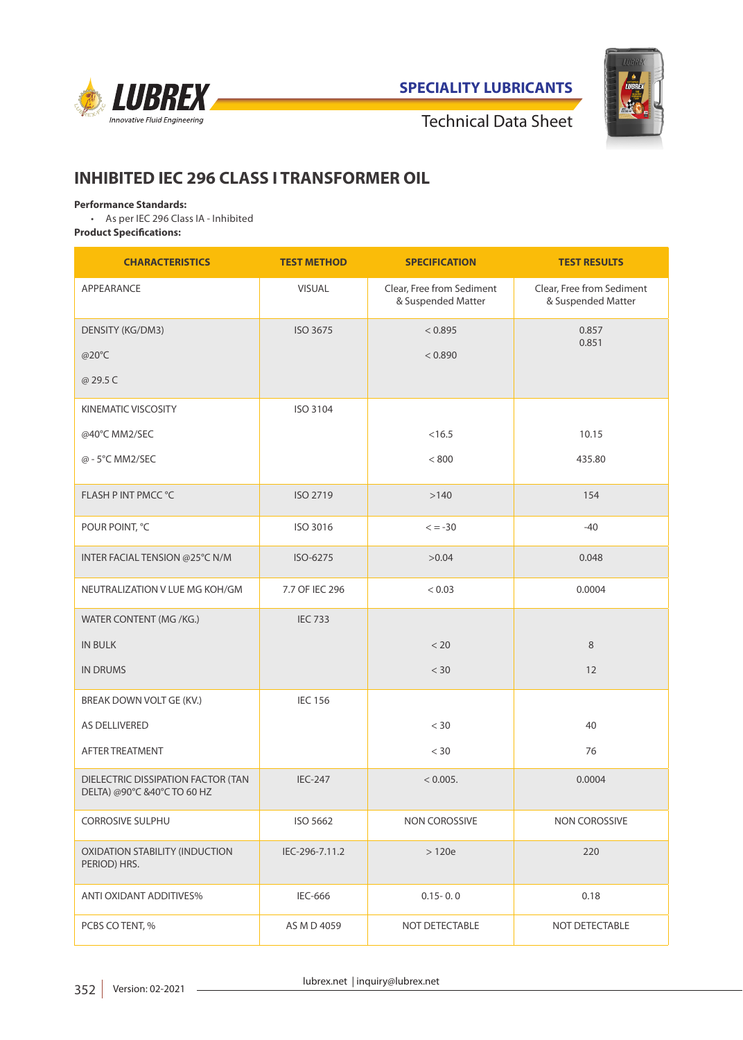

**SPECIALITY LUBRICANTS**



Technical Data Sheet

# **INHIBITED IEC 296 CLASS I TRANSFORMER OIL**

### **Performance Standards:**

• As per IEC 296 Class IA - Inhibited

**Product Specifications:**

| <b>CHARACTERISTICS</b>                                            | <b>TEST METHOD</b> | <b>SPECIFICATION</b>                            | <b>TEST RESULTS</b>                             |
|-------------------------------------------------------------------|--------------------|-------------------------------------------------|-------------------------------------------------|
| APPEARANCE                                                        | VISUAL             | Clear. Free from Sediment<br>& Suspended Matter | Clear, Free from Sediment<br>& Suspended Matter |
| DENSITY (KG/DM3)                                                  | ISO 3675           | < 0.895                                         | 0.857<br>0.851                                  |
| @20°C                                                             |                    | < 0.890                                         |                                                 |
| @ 29.5 C                                                          |                    |                                                 |                                                 |
| <b>KINEMATIC VISCOSITY</b>                                        | ISO 3104           |                                                 |                                                 |
| @40°C MM2/SEC                                                     |                    | < 16.5                                          | 10.15                                           |
| @ - 5°C MM2/SEC                                                   |                    | < 800                                           | 435.80                                          |
| FLASH P INT PMCC °C                                               | ISO 2719           | >140                                            | 154                                             |
| POUR POINT, °C                                                    | ISO 3016           | $\leq -30$                                      | $-40$                                           |
| INTER FACIAL TENSION @25°C N/M                                    | ISO-6275           | >0.04                                           | 0.048                                           |
| NEUTRALIZATION V LUE MG KOH/GM                                    | 7.7 OF IEC 296     | < 0.03                                          | 0.0004                                          |
| WATER CONTENT (MG /KG.)                                           | <b>IEC 733</b>     |                                                 |                                                 |
| <b>IN BULK</b>                                                    |                    | < 20                                            | 8                                               |
| <b>IN DRUMS</b>                                                   |                    | < 30                                            | 12                                              |
| BREAK DOWN VOLT GE (KV.)                                          | <b>IEC 156</b>     |                                                 |                                                 |
| AS DELLIVERED                                                     |                    | $<$ 30                                          | 40                                              |
| AFTER TREATMENT                                                   |                    | $<$ 30                                          | 76                                              |
| DIELECTRIC DISSIPATION FACTOR (TAN<br>DELTA) @90°C &40°C TO 60 HZ | <b>IEC-247</b>     | < 0.005.                                        | 0.0004                                          |
| <b>CORROSIVE SULPHU</b>                                           | ISO 5662           | NON COROSSIVE                                   | NON COROSSIVE                                   |
| <b>OXIDATION STABILITY (INDUCTION</b><br>PERIOD) HRS.             | IEC-296-7.11.2     | >120e                                           | 220                                             |
| <b>ANTI OXIDANT ADDITIVES%</b>                                    | <b>IEC-666</b>     | $0.15 - 0.0$                                    | 0.18                                            |
| PCBS CO TENT, %                                                   | AS M D 4059        | NOT DETECTABLE                                  | NOT DETECTABLE                                  |